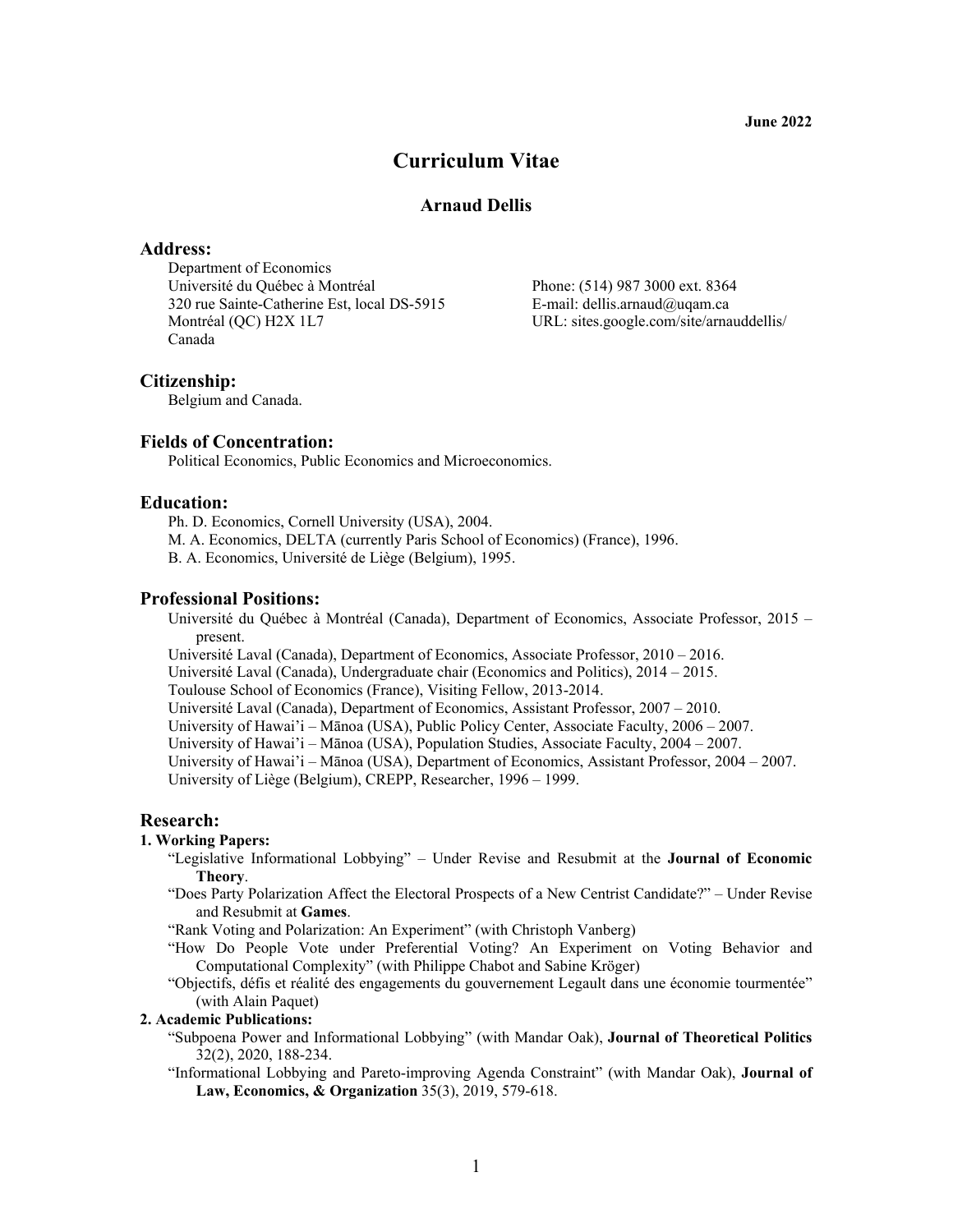**June 2022** 

# **Curriculum Vitae**

# **Arnaud Dellis**

# **Address:**

Department of Economics Université du Québec à Montréal Phone: (514) 987 3000 ext. 8364 320 rue Sainte-Catherine Est, local DS-5915 E-mail: dellis.arnaud@uqam.ca Montréal (QC) H2X 1L7 URL: sites.google.com/site/arnauddellis/ Canada

## **Citizenship:**

Belgium and Canada.

## **Fields of Concentration:**

Political Economics, Public Economics and Microeconomics.

## **Education:**

Ph. D. Economics, Cornell University (USA), 2004.

- M. A. Economics, DELTA (currently Paris School of Economics) (France), 1996.
- B. A. Economics, Université de Liège (Belgium), 1995.

## **Professional Positions:**

Université du Québec à Montréal (Canada), Department of Economics, Associate Professor, 2015 – present.

Université Laval (Canada), Department of Economics, Associate Professor, 2010 – 2016.

Université Laval (Canada), Undergraduate chair (Economics and Politics), 2014 – 2015.

Toulouse School of Economics (France), Visiting Fellow, 2013-2014.

Université Laval (Canada), Department of Economics, Assistant Professor, 2007 – 2010.

University of Hawai'i – Mānoa (USA), Public Policy Center, Associate Faculty, 2006 – 2007.

University of Hawai'i – Mānoa (USA), Population Studies, Associate Faculty, 2004 – 2007.

University of Hawai'i – Mānoa (USA), Department of Economics, Assistant Professor, 2004 – 2007.

University of Liège (Belgium), CREPP, Researcher, 1996 – 1999.

# **Research:**

# **1. Working Papers:**

- "Legislative Informational Lobbying" Under Revise and Resubmit at the **Journal of Economic Theory**.
- "Does Party Polarization Affect the Electoral Prospects of a New Centrist Candidate?" Under Revise and Resubmit at **Games**.

"Rank Voting and Polarization: An Experiment" (with Christoph Vanberg)

- "How Do People Vote under Preferential Voting? An Experiment on Voting Behavior and Computational Complexity" (with Philippe Chabot and Sabine Kröger)
- "Objectifs, défis et réalité des engagements du gouvernement Legault dans une économie tourmentée" (with Alain Paquet)

## **2. Academic Publications:**

- "Subpoena Power and Informational Lobbying" (with Mandar Oak), **Journal of Theoretical Politics** 32(2), 2020, 188-234.
- "Informational Lobbying and Pareto-improving Agenda Constraint" (with Mandar Oak), **Journal of Law, Economics, & Organization** 35(3), 2019, 579-618.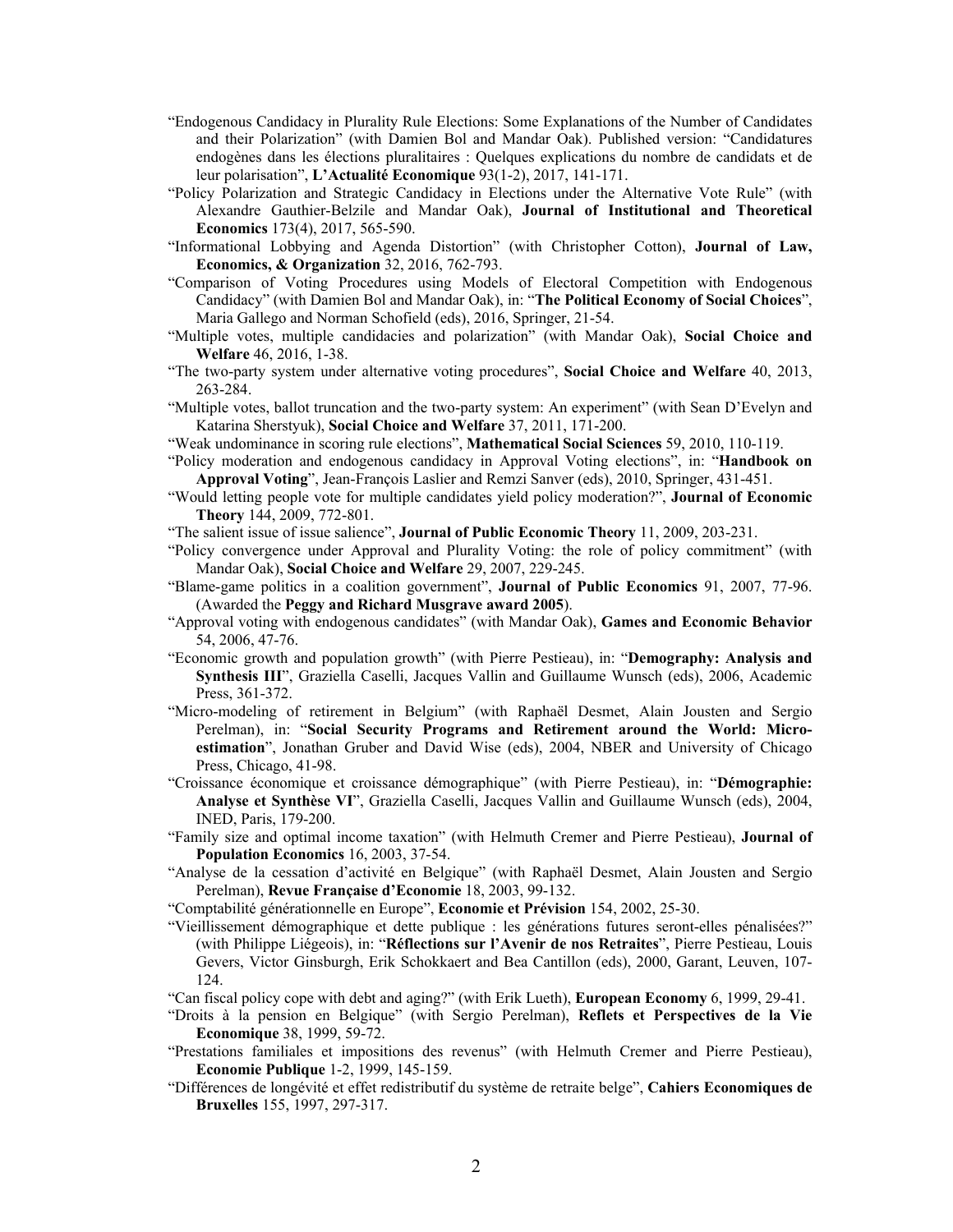- "Endogenous Candidacy in Plurality Rule Elections: Some Explanations of the Number of Candidates and their Polarization" (with Damien Bol and Mandar Oak). Published version: "Candidatures endogènes dans les élections pluralitaires : Quelques explications du nombre de candidats et de leur polarisation", **L'Actualité Economique** 93(1-2), 2017, 141-171.
- "Policy Polarization and Strategic Candidacy in Elections under the Alternative Vote Rule" (with Alexandre Gauthier-Belzile and Mandar Oak), **Journal of Institutional and Theoretical Economics** 173(4), 2017, 565-590.
- "Informational Lobbying and Agenda Distortion" (with Christopher Cotton), **Journal of Law, Economics, & Organization** 32, 2016, 762-793.
- "Comparison of Voting Procedures using Models of Electoral Competition with Endogenous Candidacy" (with Damien Bol and Mandar Oak), in: "**The Political Economy of Social Choices**", Maria Gallego and Norman Schofield (eds), 2016, Springer, 21-54.
- "Multiple votes, multiple candidacies and polarization" (with Mandar Oak), **Social Choice and Welfare** 46, 2016, 1-38.
- "The two-party system under alternative voting procedures", **Social Choice and Welfare** 40, 2013, 263-284.
- "Multiple votes, ballot truncation and the two-party system: An experiment" (with Sean D'Evelyn and Katarina Sherstyuk), **Social Choice and Welfare** 37, 2011, 171-200.
- "Weak undominance in scoring rule elections", **Mathematical Social Sciences** 59, 2010, 110-119.
- "Policy moderation and endogenous candidacy in Approval Voting elections", in: "**Handbook on Approval Voting**", Jean-François Laslier and Remzi Sanver (eds), 2010, Springer, 431-451.
- "Would letting people vote for multiple candidates yield policy moderation?", **Journal of Economic Theory** 144, 2009, 772-801.
- "The salient issue of issue salience", **Journal of Public Economic Theory** 11, 2009, 203-231.
- "Policy convergence under Approval and Plurality Voting: the role of policy commitment" (with Mandar Oak), **Social Choice and Welfare** 29, 2007, 229-245.
- "Blame-game politics in a coalition government", **Journal of Public Economics** 91, 2007, 77-96. (Awarded the **Peggy and Richard Musgrave award 2005**).
- "Approval voting with endogenous candidates" (with Mandar Oak), **Games and Economic Behavior** 54, 2006, 47-76.
- "Economic growth and population growth" (with Pierre Pestieau), in: "**Demography: Analysis and Synthesis III**", Graziella Caselli, Jacques Vallin and Guillaume Wunsch (eds), 2006, Academic Press, 361-372.
- "Micro-modeling of retirement in Belgium" (with Raphaël Desmet, Alain Jousten and Sergio Perelman), in: "**Social Security Programs and Retirement around the World: Microestimation**", Jonathan Gruber and David Wise (eds), 2004, NBER and University of Chicago Press, Chicago, 41-98.
- "Croissance économique et croissance démographique" (with Pierre Pestieau), in: "**Démographie: Analyse et Synthèse VI**", Graziella Caselli, Jacques Vallin and Guillaume Wunsch (eds), 2004, INED, Paris, 179-200.
- "Family size and optimal income taxation" (with Helmuth Cremer and Pierre Pestieau), **Journal of Population Economics** 16, 2003, 37-54.
- "Analyse de la cessation d'activité en Belgique" (with Raphaël Desmet, Alain Jousten and Sergio Perelman), **Revue Française d'Economie** 18, 2003, 99-132.
- "Comptabilité générationnelle en Europe", **Economie et Prévision** 154, 2002, 25-30.
- "Vieillissement démographique et dette publique : les générations futures seront-elles pénalisées?" (with Philippe Liégeois), in: "**Réflections sur l'Avenir de nos Retraites**", Pierre Pestieau, Louis Gevers, Victor Ginsburgh, Erik Schokkaert and Bea Cantillon (eds), 2000, Garant, Leuven, 107- 124.
- "Can fiscal policy cope with debt and aging?" (with Erik Lueth), **European Economy** 6, 1999, 29-41.
- "Droits à la pension en Belgique" (with Sergio Perelman), **Reflets et Perspectives de la Vie Economique** 38, 1999, 59-72.
- "Prestations familiales et impositions des revenus" (with Helmuth Cremer and Pierre Pestieau), **Economie Publique** 1-2, 1999, 145-159.
- "Différences de longévité et effet redistributif du système de retraite belge", **Cahiers Economiques de Bruxelles** 155, 1997, 297-317.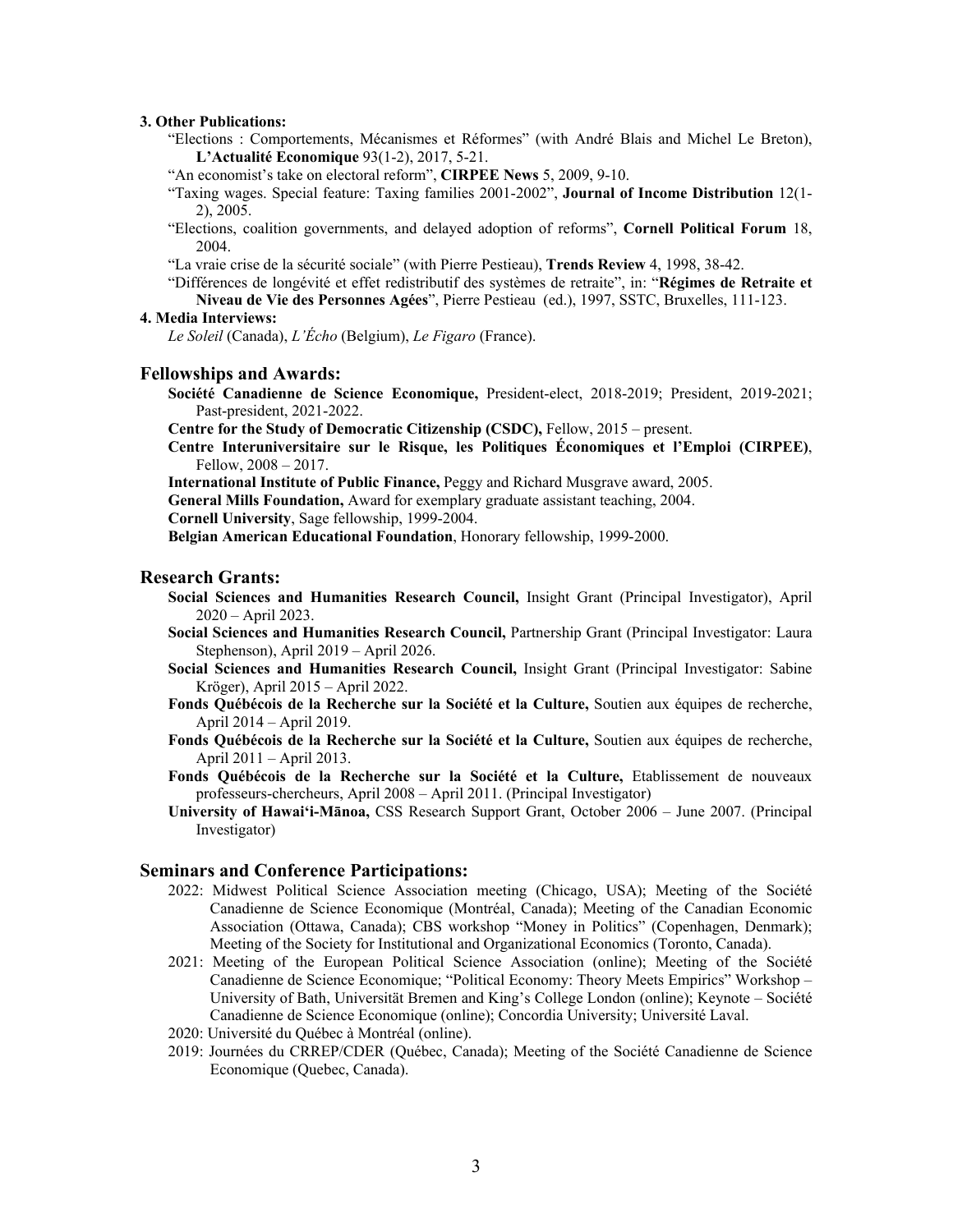# **3. Other Publications:**

"Elections : Comportements, Mécanismes et Réformes" (with André Blais and Michel Le Breton), **L'Actualité Economique** 93(1-2), 2017, 5-21.

"An economist's take on electoral reform", **CIRPEE News** 5, 2009, 9-10.

"Taxing wages. Special feature: Taxing families 2001-2002", **Journal of Income Distribution** 12(1- 2), 2005.

"Elections, coalition governments, and delayed adoption of reforms", **Cornell Political Forum** 18, 2004.

"La vraie crise de la sécurité sociale" (with Pierre Pestieau), **Trends Review** 4, 1998, 38-42.

"Différences de longévité et effet redistributif des systèmes de retraite", in: "**Régimes de Retraite et Niveau de Vie des Personnes Agées**", Pierre Pestieau (ed.), 1997, SSTC, Bruxelles, 111-123.

#### **4. Media Interviews:**

*Le Soleil* (Canada), *L'Écho* (Belgium), *Le Figaro* (France).

## **Fellowships and Awards:**

**Société Canadienne de Science Economique,** President-elect, 2018-2019; President, 2019-2021; Past-president, 2021-2022.

**Centre for the Study of Democratic Citizenship (CSDC),** Fellow, 2015 – present.

**Centre Interuniversitaire sur le Risque, les Politiques Économiques et l'Emploi (CIRPEE)**, Fellow, 2008 – 2017.

**International Institute of Public Finance,** Peggy and Richard Musgrave award, 2005.

**General Mills Foundation,** Award for exemplary graduate assistant teaching, 2004.

**Cornell University**, Sage fellowship, 1999-2004.

**Belgian American Educational Foundation**, Honorary fellowship, 1999-2000.

## **Research Grants:**

- **Social Sciences and Humanities Research Council,** Insight Grant (Principal Investigator), April 2020 – April 2023.
- **Social Sciences and Humanities Research Council,** Partnership Grant (Principal Investigator: Laura Stephenson), April 2019 – April 2026.
- **Social Sciences and Humanities Research Council,** Insight Grant (Principal Investigator: Sabine Kröger), April 2015 – April 2022.
- **Fonds Québécois de la Recherche sur la Société et la Culture,** Soutien aux équipes de recherche, April 2014 – April 2019.
- **Fonds Québécois de la Recherche sur la Société et la Culture,** Soutien aux équipes de recherche, April 2011 – April 2013.
- **Fonds Québécois de la Recherche sur la Société et la Culture,** Etablissement de nouveaux professeurs-chercheurs, April 2008 – April 2011. (Principal Investigator)
- **University of Hawai'i-Mānoa,** CSS Research Support Grant, October 2006 June 2007. (Principal Investigator)

# **Seminars and Conference Participations:**

- 2022: Midwest Political Science Association meeting (Chicago, USA); Meeting of the Société Canadienne de Science Economique (Montréal, Canada); Meeting of the Canadian Economic Association (Ottawa, Canada); CBS workshop "Money in Politics" (Copenhagen, Denmark); Meeting of the Society for Institutional and Organizational Economics (Toronto, Canada).
- 2021: Meeting of the European Political Science Association (online); Meeting of the Société Canadienne de Science Economique; "Political Economy: Theory Meets Empirics" Workshop – University of Bath, Universität Bremen and King's College London (online); Keynote – Société Canadienne de Science Economique (online); Concordia University; Université Laval.
- 2020: Université du Québec à Montréal (online).
- 2019: Journées du CRREP/CDER (Québec, Canada); Meeting of the Société Canadienne de Science Economique (Quebec, Canada).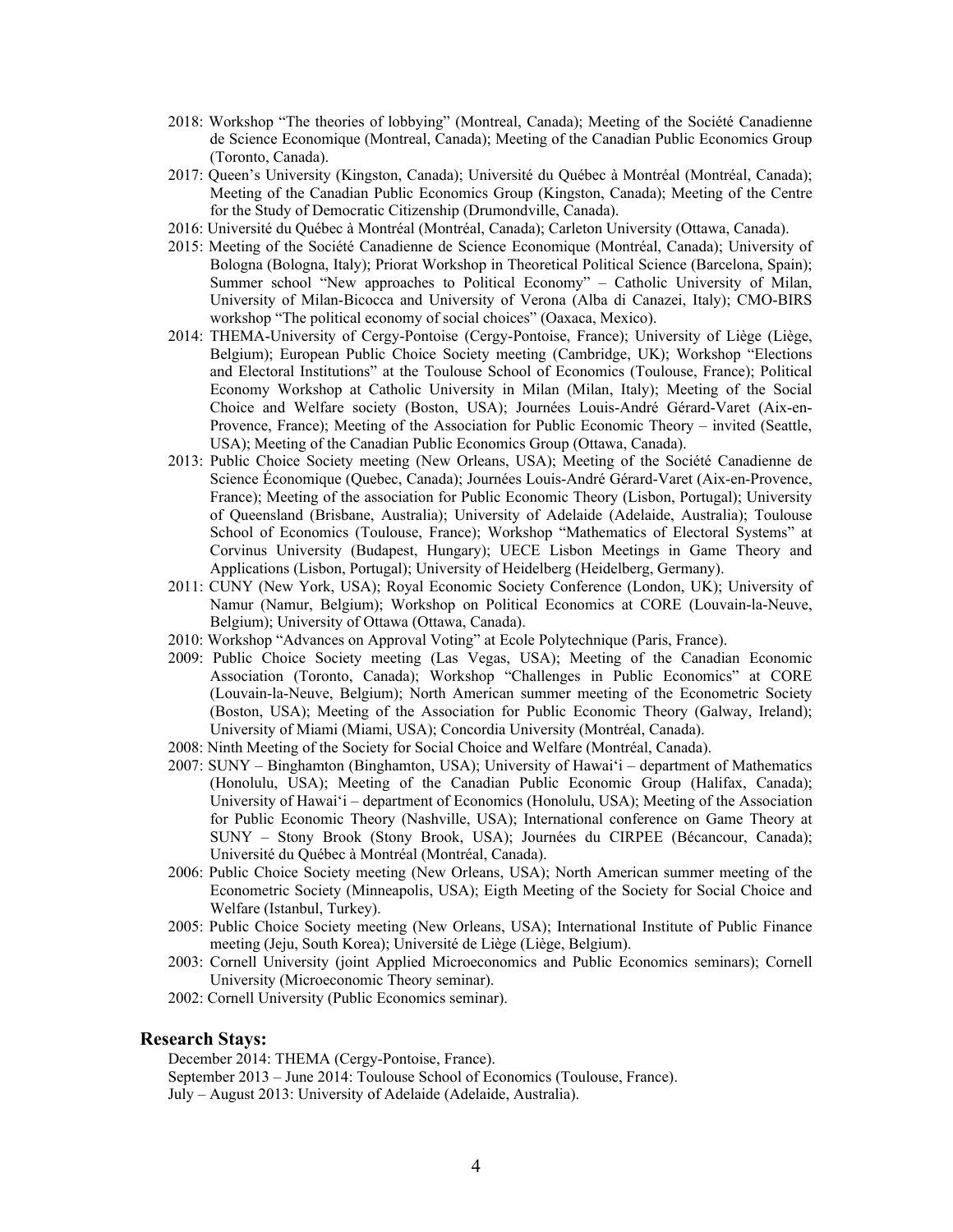- 2018: Workshop "The theories of lobbying" (Montreal, Canada); Meeting of the Société Canadienne de Science Economique (Montreal, Canada); Meeting of the Canadian Public Economics Group (Toronto, Canada).
- 2017: Queen's University (Kingston, Canada); Université du Québec à Montréal (Montréal, Canada); Meeting of the Canadian Public Economics Group (Kingston, Canada); Meeting of the Centre for the Study of Democratic Citizenship (Drumondville, Canada).
- 2016: Université du Québec à Montréal (Montréal, Canada); Carleton University (Ottawa, Canada).
- 2015: Meeting of the Société Canadienne de Science Economique (Montréal, Canada); University of Bologna (Bologna, Italy); Priorat Workshop in Theoretical Political Science (Barcelona, Spain); Summer school "New approaches to Political Economy" – Catholic University of Milan, University of Milan-Bicocca and University of Verona (Alba di Canazei, Italy); CMO-BIRS workshop "The political economy of social choices" (Oaxaca, Mexico).
- 2014: THEMA-University of Cergy-Pontoise (Cergy-Pontoise, France); University of Liège (Liège, Belgium); European Public Choice Society meeting (Cambridge, UK); Workshop "Elections and Electoral Institutions" at the Toulouse School of Economics (Toulouse, France); Political Economy Workshop at Catholic University in Milan (Milan, Italy); Meeting of the Social Choice and Welfare society (Boston, USA); Journées Louis-André Gérard-Varet (Aix-en-Provence, France); Meeting of the Association for Public Economic Theory – invited (Seattle, USA); Meeting of the Canadian Public Economics Group (Ottawa, Canada).
- 2013: Public Choice Society meeting (New Orleans, USA); Meeting of the Société Canadienne de Science Économique (Quebec, Canada); Journées Louis-André Gérard-Varet (Aix-en-Provence, France); Meeting of the association for Public Economic Theory (Lisbon, Portugal); University of Queensland (Brisbane, Australia); University of Adelaide (Adelaide, Australia); Toulouse School of Economics (Toulouse, France); Workshop "Mathematics of Electoral Systems" at Corvinus University (Budapest, Hungary); UECE Lisbon Meetings in Game Theory and Applications (Lisbon, Portugal); University of Heidelberg (Heidelberg, Germany).
- 2011: CUNY (New York, USA); Royal Economic Society Conference (London, UK); University of Namur (Namur, Belgium); Workshop on Political Economics at CORE (Louvain-la-Neuve, Belgium); University of Ottawa (Ottawa, Canada).
- 2010: Workshop "Advances on Approval Voting" at Ecole Polytechnique (Paris, France).
- 2009: Public Choice Society meeting (Las Vegas, USA); Meeting of the Canadian Economic Association (Toronto, Canada); Workshop "Challenges in Public Economics" at CORE (Louvain-la-Neuve, Belgium); North American summer meeting of the Econometric Society (Boston, USA); Meeting of the Association for Public Economic Theory (Galway, Ireland); University of Miami (Miami, USA); Concordia University (Montréal, Canada).
- 2008: Ninth Meeting of the Society for Social Choice and Welfare (Montréal, Canada).
- 2007: SUNY Binghamton (Binghamton, USA); University of Hawai'i department of Mathematics (Honolulu, USA); Meeting of the Canadian Public Economic Group (Halifax, Canada); University of Hawai'i – department of Economics (Honolulu, USA); Meeting of the Association for Public Economic Theory (Nashville, USA); International conference on Game Theory at SUNY – Stony Brook (Stony Brook, USA); Journées du CIRPEE (Bécancour, Canada); Université du Québec à Montréal (Montréal, Canada).
- 2006: Public Choice Society meeting (New Orleans, USA); North American summer meeting of the Econometric Society (Minneapolis, USA); Eigth Meeting of the Society for Social Choice and Welfare (Istanbul, Turkey).
- 2005: Public Choice Society meeting (New Orleans, USA); International Institute of Public Finance meeting (Jeju, South Korea); Université de Liège (Liège, Belgium).
- 2003: Cornell University (joint Applied Microeconomics and Public Economics seminars); Cornell University (Microeconomic Theory seminar).
- 2002: Cornell University (Public Economics seminar).

# **Research Stays:**

December 2014: THEMA (Cergy-Pontoise, France).

September 2013 – June 2014: Toulouse School of Economics (Toulouse, France). July – August 2013: University of Adelaide (Adelaide, Australia).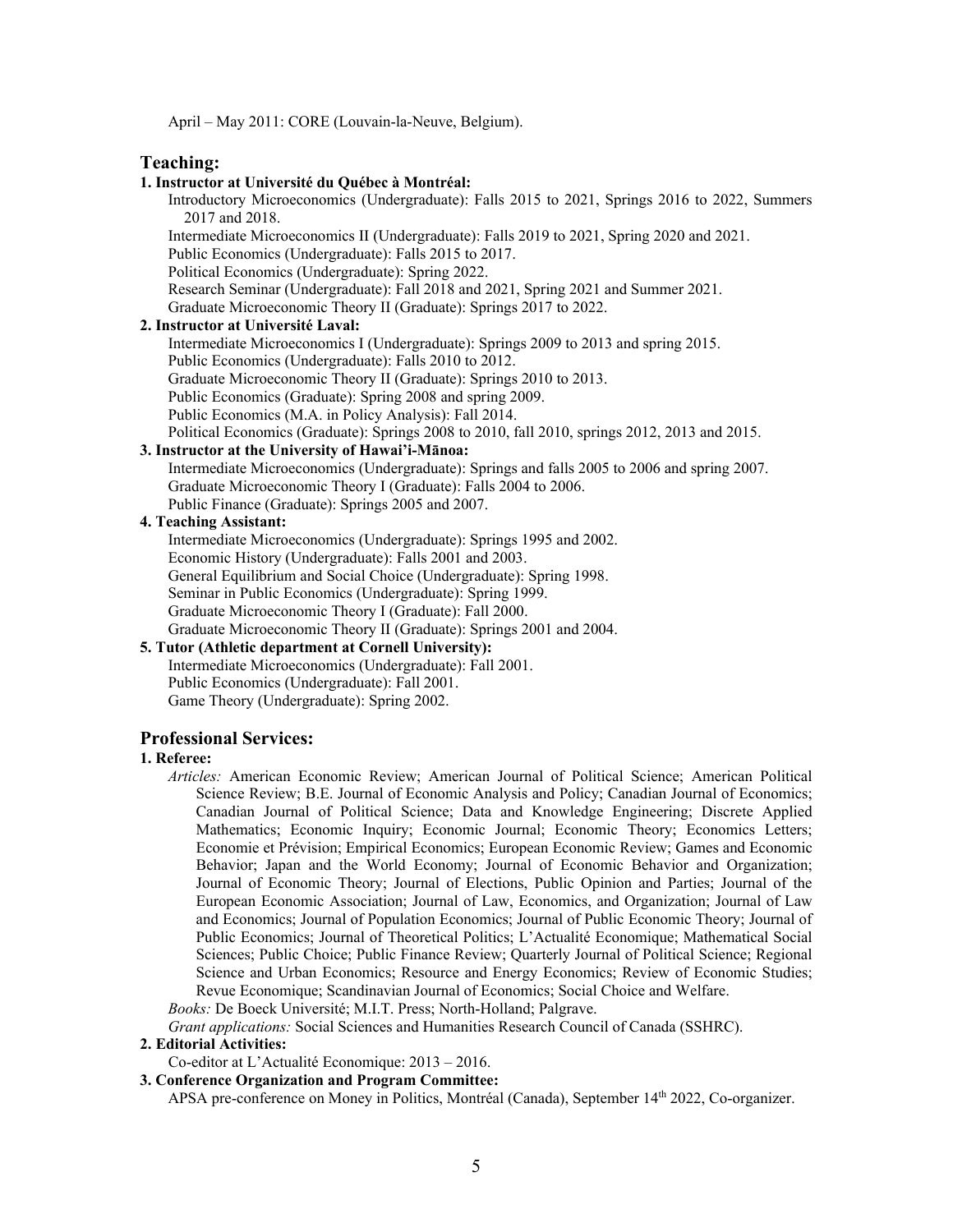April – May 2011: CORE (Louvain-la-Neuve, Belgium).

## **Teaching:**

### **1. Instructor at Université du Québec à Montréal:**

Introductory Microeconomics (Undergraduate): Falls 2015 to 2021, Springs 2016 to 2022, Summers 2017 and 2018.

Intermediate Microeconomics II (Undergraduate): Falls 2019 to 2021, Spring 2020 and 2021.

Public Economics (Undergraduate): Falls 2015 to 2017.

Political Economics (Undergraduate): Spring 2022.

Research Seminar (Undergraduate): Fall 2018 and 2021, Spring 2021 and Summer 2021.

Graduate Microeconomic Theory II (Graduate): Springs 2017 to 2022.

# **2. Instructor at Université Laval:**

Intermediate Microeconomics I (Undergraduate): Springs 2009 to 2013 and spring 2015.

Public Economics (Undergraduate): Falls 2010 to 2012.

Graduate Microeconomic Theory II (Graduate): Springs 2010 to 2013.

Public Economics (Graduate): Spring 2008 and spring 2009.

Public Economics (M.A. in Policy Analysis): Fall 2014.

Political Economics (Graduate): Springs 2008 to 2010, fall 2010, springs 2012, 2013 and 2015.

# **3. Instructor at the University of Hawai'i-Mānoa:**

Intermediate Microeconomics (Undergraduate): Springs and falls 2005 to 2006 and spring 2007. Graduate Microeconomic Theory I (Graduate): Falls 2004 to 2006. Public Finance (Graduate): Springs 2005 and 2007.

# **4. Teaching Assistant:**

Intermediate Microeconomics (Undergraduate): Springs 1995 and 2002. Economic History (Undergraduate): Falls 2001 and 2003. General Equilibrium and Social Choice (Undergraduate): Spring 1998. Seminar in Public Economics (Undergraduate): Spring 1999. Graduate Microeconomic Theory I (Graduate): Fall 2000. Graduate Microeconomic Theory II (Graduate): Springs 2001 and 2004.

# **5. Tutor (Athletic department at Cornell University):**

Intermediate Microeconomics (Undergraduate): Fall 2001. Public Economics (Undergraduate): Fall 2001. Game Theory (Undergraduate): Spring 2002.

# **Professional Services:**

## **1. Referee:**

*Articles:* American Economic Review; American Journal of Political Science; American Political Science Review; B.E. Journal of Economic Analysis and Policy; Canadian Journal of Economics; Canadian Journal of Political Science; Data and Knowledge Engineering; Discrete Applied Mathematics; Economic Inquiry; Economic Journal; Economic Theory; Economics Letters; Economie et Prévision; Empirical Economics; European Economic Review; Games and Economic Behavior; Japan and the World Economy; Journal of Economic Behavior and Organization; Journal of Economic Theory; Journal of Elections, Public Opinion and Parties; Journal of the European Economic Association; Journal of Law, Economics, and Organization; Journal of Law and Economics; Journal of Population Economics; Journal of Public Economic Theory; Journal of Public Economics; Journal of Theoretical Politics; L'Actualité Economique; Mathematical Social Sciences; Public Choice; Public Finance Review; Quarterly Journal of Political Science; Regional Science and Urban Economics; Resource and Energy Economics; Review of Economic Studies; Revue Economique; Scandinavian Journal of Economics; Social Choice and Welfare.

*Books:* De Boeck Université; M.I.T. Press; North-Holland; Palgrave.

*Grant applications:* Social Sciences and Humanities Research Council of Canada (SSHRC).

## **2. Editorial Activities:**

Co-editor at L'Actualité Economique: 2013 – 2016.

### **3. Conference Organization and Program Committee:**

APSA pre-conference on Money in Politics, Montréal (Canada), September 14th 2022, Co-organizer.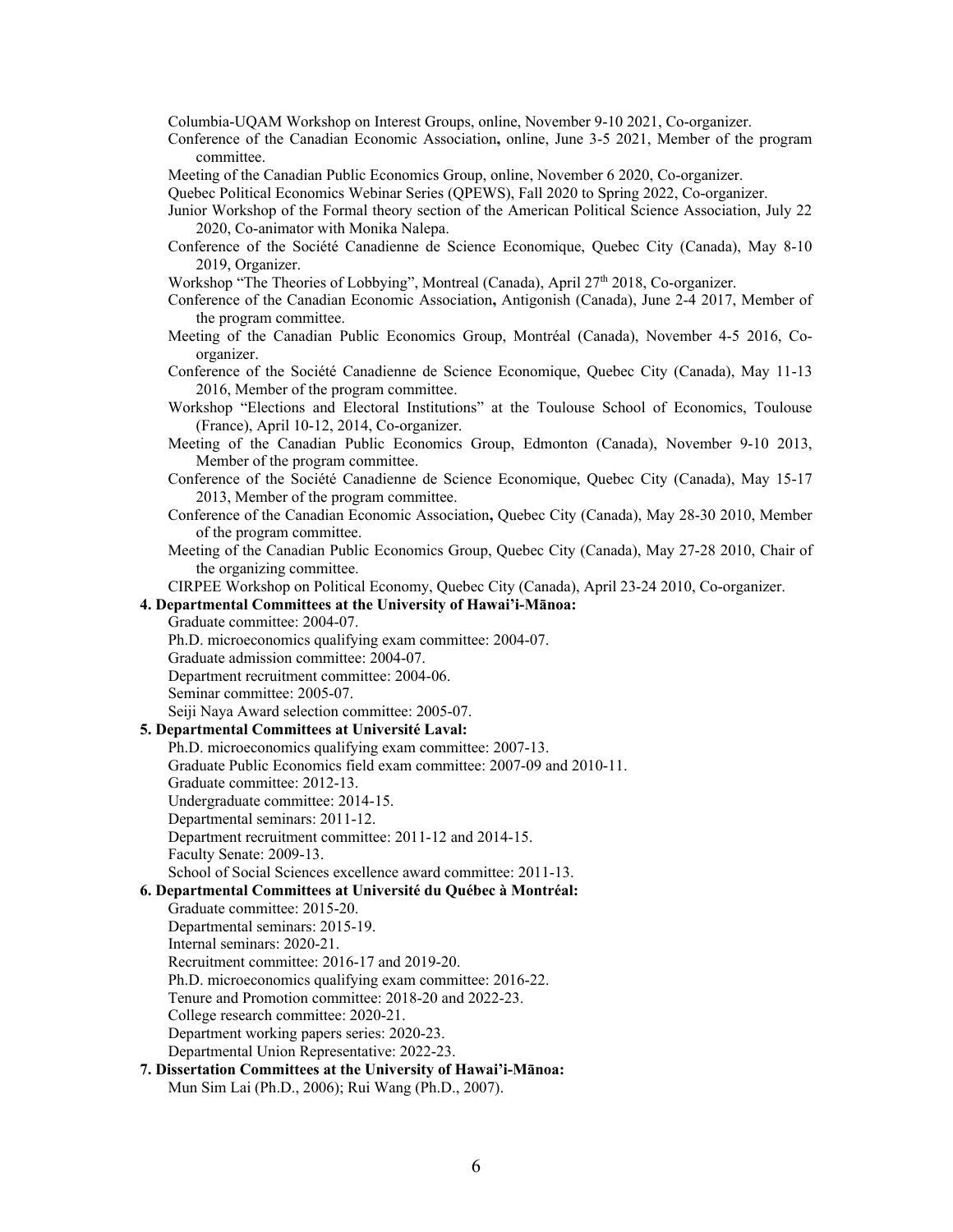Columbia-UQAM Workshop on Interest Groups, online, November 9-10 2021, Co-organizer.

- Conference of the Canadian Economic Association**,** online, June 3-5 2021, Member of the program committee.
- Meeting of the Canadian Public Economics Group, online, November 6 2020, Co-organizer.
- Quebec Political Economics Webinar Series (QPEWS), Fall 2020 to Spring 2022, Co-organizer.
- Junior Workshop of the Formal theory section of the American Political Science Association, July 22 2020, Co-animator with Monika Nalepa.
- Conference of the Société Canadienne de Science Economique, Quebec City (Canada), May 8-10 2019, Organizer.
- Workshop "The Theories of Lobbying", Montreal (Canada), April 27<sup>th</sup> 2018, Co-organizer.
- Conference of the Canadian Economic Association**,** Antigonish (Canada), June 2-4 2017, Member of the program committee.
- Meeting of the Canadian Public Economics Group, Montréal (Canada), November 4-5 2016, Coorganizer.
- Conference of the Société Canadienne de Science Economique, Quebec City (Canada), May 11-13 2016, Member of the program committee.
- Workshop "Elections and Electoral Institutions" at the Toulouse School of Economics, Toulouse (France), April 10-12, 2014, Co-organizer.
- Meeting of the Canadian Public Economics Group, Edmonton (Canada), November 9-10 2013, Member of the program committee.
- Conference of the Société Canadienne de Science Economique, Quebec City (Canada), May 15-17 2013, Member of the program committee.
- Conference of the Canadian Economic Association**,** Quebec City (Canada), May 28-30 2010, Member of the program committee.
- Meeting of the Canadian Public Economics Group, Quebec City (Canada), May 27-28 2010, Chair of the organizing committee.

CIRPEE Workshop on Political Economy, Quebec City (Canada), April 23-24 2010, Co-organizer.

#### **4. Departmental Committees at the University of Hawai'i-Mānoa:**

- Graduate committee: 2004-07.
- Ph.D. microeconomics qualifying exam committee: 2004-07.
- Graduate admission committee: 2004-07.
- Department recruitment committee: 2004-06.
- Seminar committee: 2005-07.

Seiji Naya Award selection committee: 2005-07.

### **5. Departmental Committees at Université Laval:**

- Ph.D. microeconomics qualifying exam committee: 2007-13.
- Graduate Public Economics field exam committee: 2007-09 and 2010-11.
- Graduate committee: 2012-13.
- Undergraduate committee: 2014-15.
- Departmental seminars: 2011-12.
- Department recruitment committee: 2011-12 and 2014-15.
- Faculty Senate: 2009-13.

School of Social Sciences excellence award committee: 2011-13.

**6. Departmental Committees at Université du Québec à Montréal:** 

- Graduate committee: 2015-20.
- Departmental seminars: 2015-19.
- Internal seminars: 2020-21.
- Recruitment committee: 2016-17 and 2019-20.
- Ph.D. microeconomics qualifying exam committee: 2016-22.
- Tenure and Promotion committee: 2018-20 and 2022-23.
- College research committee: 2020-21.
- Department working papers series: 2020-23.

Departmental Union Representative: 2022-23.

**7. Dissertation Committees at the University of Hawai'i-Mānoa:**  Mun Sim Lai (Ph.D., 2006); Rui Wang (Ph.D., 2007).